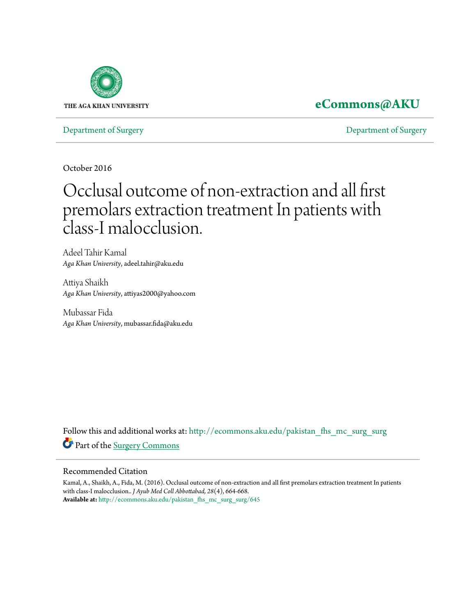

## **[eCommons@AKU](http://ecommons.aku.edu?utm_source=ecommons.aku.edu%2Fpakistan_fhs_mc_surg_surg%2F645&utm_medium=PDF&utm_campaign=PDFCoverPages)**

[Department of Surgery](http://ecommons.aku.edu/pakistan_fhs_mc_surg_surg?utm_source=ecommons.aku.edu%2Fpakistan_fhs_mc_surg_surg%2F645&utm_medium=PDF&utm_campaign=PDFCoverPages) [Department of Surgery](http://ecommons.aku.edu/pakistan_fhs_mc_surg?utm_source=ecommons.aku.edu%2Fpakistan_fhs_mc_surg_surg%2F645&utm_medium=PDF&utm_campaign=PDFCoverPages)

October 2016

# Occlusal outcome of non-extraction and all first premolars extraction treatment In patients with class-I malocclusion.

Adeel Tahir Kamal *Aga Khan University*, adeel.tahir@aku.edu

Attiya Shaikh *Aga Khan University*, attiyas2000@yahoo.com

Mubassar Fida *Aga Khan University*, mubassar.fida@aku.edu

Follow this and additional works at: [http://ecommons.aku.edu/pakistan\\_fhs\\_mc\\_surg\\_surg](http://ecommons.aku.edu/pakistan_fhs_mc_surg_surg?utm_source=ecommons.aku.edu%2Fpakistan_fhs_mc_surg_surg%2F645&utm_medium=PDF&utm_campaign=PDFCoverPages) Part of the [Surgery Commons](http://network.bepress.com/hgg/discipline/706?utm_source=ecommons.aku.edu%2Fpakistan_fhs_mc_surg_surg%2F645&utm_medium=PDF&utm_campaign=PDFCoverPages)

#### Recommended Citation

Kamal, A., Shaikh, A., Fida, M. (2016). Occlusal outcome of non-extraction and all first premolars extraction treatment In patients with class-I malocclusion.. *J Ayub Med Coll Abbottabad, 28*(4), 664-668. **Available at:** [http://ecommons.aku.edu/pakistan\\_fhs\\_mc\\_surg\\_surg/645](http://ecommons.aku.edu/pakistan_fhs_mc_surg_surg/645)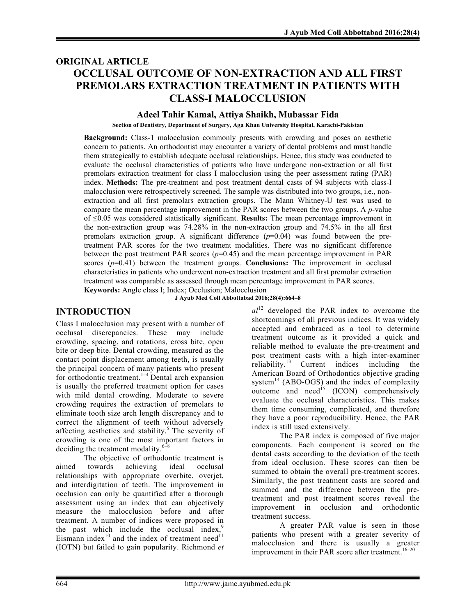## ORIGINAL ARTICLE OCCLUSAL OUTCOME OF NON-EXTRACTION AND ALL FIRST PREMOLARS EXTRACTION TREATMENT IN PATIENTS WITH CLASS-I MALOCCLUSION

#### Adeel Tahir Kamal, Attiya Shaikh, Mubassar Fida

Section of Dentistry, Department of Surgery, Aga Khan University Hospital, Karachi-Pakistan

Background: Class-1 malocclusion commonly presents with crowding and poses an aesthetic concern to patients. An orthodontist may encounter a variety of dental problems and must handle them strategically to establish adequate occlusal relationships. Hence, this study was conducted to evaluate the occlusal characteristics of patients who have undergone non-extraction or all first premolars extraction treatment for class I malocclusion using the peer assessment rating (PAR) index. Methods: The pre-treatment and post treatment dental casts of 94 subjects with class-I malocclusion were retrospectively screened. The sample was distributed into two groups, i.e., nonextraction and all first premolars extraction groups. The Mann Whitney-U test was used to compare the mean percentage improvement in the PAR scores between the two groups. A *p*-value of ≤0.05 was considered statistically significant. Results: The mean percentage improvement in the non-extraction group was 74.28% in the non-extraction group and 74.5% in the all first premolars extraction group. A significant difference  $(p=0.04)$  was found between the pretreatment PAR scores for the two treatment modalities. There was no significant difference between the post treatment PAR scores  $(p=0.45)$  and the mean percentage improvement in PAR scores  $(p=0.41)$  between the treatment groups. **Conclusions:** The improvement in occlusal characteristics in patients who underwent non-extraction treatment and all first premolar extraction treatment was comparable as assessed through mean percentage improvement in PAR scores.

Keywords: Angle class I; Index; Occlusion; Malocclusion J Ayub Med Coll Abbottabad 2016;28(4):664–8

INTRODUCTION

Class I malocclusion may present with a number of occlusal discrepancies. These may include crowding, spacing, and rotations, cross bite, open bite or deep bite. Dental crowding, measured as the contact point displacement among teeth, is usually the principal concern of many patients who present for orthodontic treatment.<sup>1–4</sup> Dental arch expansion is usually the preferred treatment option for cases with mild dental crowding. Moderate to severe crowding requires the extraction of premolars to eliminate tooth size arch length discrepancy and to correct the alignment of teeth without adversely affecting aesthetics and stability.<sup>5</sup> The severity of crowding is one of the most important factors in deciding the treatment modality.<sup>6-8</sup>

The objective of orthodontic treatment is aimed towards achieving ideal occlusal relationships with appropriate overbite, overjet, and interdigitation of teeth. The improvement in occlusion can only be quantified after a thorough assessment using an index that can objectively measure the malocclusion before and after treatment. A number of indices were proposed in the past which include the occlusal index,<sup>9</sup> Eismann index $^{10}$  and the index of treatment need<sup>11</sup> (IOTN) but failed to gain popularity. Richmond *et* 

*al*12 developed the PAR index to overcome the shortcomings of all previous indices. It was widely accepted and embraced as a tool to determine treatment outcome as it provided a quick and reliable method to evaluate the pre-treatment and post treatment casts with a high inter-examiner reliability.<sup>13</sup> Current indices including the American Board of Orthodontics objective grading system $^{14}$  (ABO-OGS) and the index of complexity outcome and need<sup>15</sup> (ICON) comprehensively evaluate the occlusal characteristics. This makes them time consuming, complicated, and therefore they have a poor reproducibility. Hence, the PAR index is still used extensively.

The PAR index is composed of five major components. Each component is scored on the dental casts according to the deviation of the teeth from ideal occlusion. These scores can then be summed to obtain the overall pre-treatment scores. Similarly, the post treatment casts are scored and summed and the difference between the pretreatment and post treatment scores reveal the improvement in occlusion and orthodontic treatment success.

A greater PAR value is seen in those patients who present with a greater severity of malocclusion and there is usually a greater improvement in their PAR score after treatment.<sup>16-20</sup>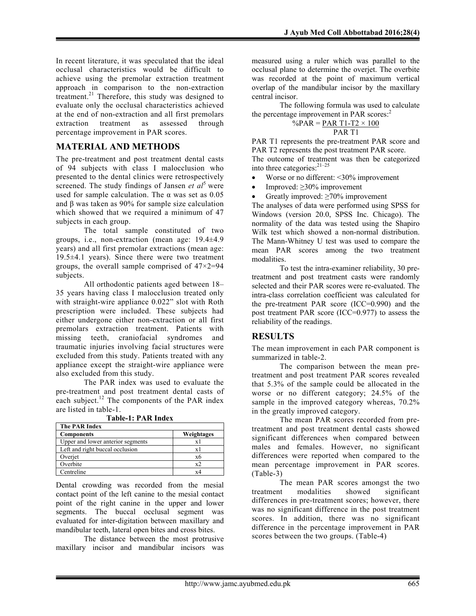In recent literature, it was speculated that the ideal occlusal characteristics would be difficult to achieve using the premolar extraction treatment approach in comparison to the non-extraction treatment.<sup>21</sup> Therefore, this study was designed to evaluate only the occlusal characteristics achieved at the end of non-extraction and all first premolars extraction treatment as assessed through percentage improvement in PAR scores.

## MATERIAL AND METHODS

The pre-treatment and post treatment dental casts of 94 subjects with class I malocclusion who presented to the dental clinics were retrospectively screened. The study findings of Jansen *et al*<sup>5</sup> were used for sample calculation. The  $\alpha$  was set as 0.05 and β was taken as 90% for sample size calculation which showed that we required a minimum of 47 subjects in each group.

The total sample constituted of two groups, i.e., non-extraction (mean age: 19.4±4.9 years) and all first premolar extractions (mean age: 19.5±4.1 years). Since there were two treatment groups, the overall sample comprised of 47×2=94 subjects.

All orthodontic patients aged between 18– 35 years having class I malocclusion treated only with straight-wire appliance 0.022" slot with Roth prescription were included. These subjects had either undergone either non-extraction or all first premolars extraction treatment. Patients with missing teeth, craniofacial syndromes and traumatic injuries involving facial structures were excluded from this study. Patients treated with any appliance except the straight-wire appliance were also excluded from this study.

The PAR index was used to evaluate the pre-treatment and post treatment dental casts of each subject.<sup>12</sup> The components of the PAR index are listed in table-1.

| The PAR Index                     |              |
|-----------------------------------|--------------|
| <b>Components</b>                 | Weightages   |
| Upper and lower anterior segments | x l          |
| Left and right buccal occlusion   | x l          |
| Overjet                           | x6           |
| Overbite                          | $x^{\gamma}$ |
| Centreline                        | xΔ           |

Table-1: PAR Index

Dental crowding was recorded from the mesial contact point of the left canine to the mesial contact point of the right canine in the upper and lower segments. The buccal occlusal segment was evaluated for inter-digitation between maxillary and mandibular teeth, lateral open bites and cross bites.

The distance between the most protrusive maxillary incisor and mandibular incisors was

measured using a ruler which was parallel to the occlusal plane to determine the overjet. The overbite was recorded at the point of maximum vertical overlap of the mandibular incisor by the maxillary central incisor.

The following formula was used to calculate the percentage improvement in PAR scores:<sup>2</sup>

$$
\frac{\%PAR = PAR T1 - T2 \times 100}{PAR T1}
$$

PAR T1 represents the pre-treatment PAR score and PAR T2 represents the post treatment PAR score. The outcome of treatment was then be categorized into three categories: 21–25

• Worse or no different: <30% improvement

Improved: ≥30% improvement

Greatly improved: ≥70% improvement

The analyses of data were performed using SPSS for Windows (version 20.0, SPSS Inc. Chicago). The normality of the data was tested using the Shapiro Wilk test which showed a non-normal distribution. The Mann-Whitney U test was used to compare the mean PAR scores among the two treatment modalities.

To test the intra-examiner reliability, 30 pretreatment and post treatment casts were randomly selected and their PAR scores were re-evaluated. The intra-class correlation coefficient was calculated for the pre-treatment PAR score (ICC=0.990) and the post treatment PAR score (ICC=0.977) to assess the reliability of the readings.

## RESULTS

The mean improvement in each PAR component is summarized in table-2.

The comparison between the mean pretreatment and post treatment PAR scores revealed that 5.3% of the sample could be allocated in the worse or no different category; 24.5% of the sample in the improved category whereas, 70.2% in the greatly improved category.

The mean PAR scores recorded from pretreatment and post treatment dental casts showed significant differences when compared between males and females. However, no significant differences were reported when compared to the mean percentage improvement in PAR scores. (Table-3)

The mean PAR scores amongst the two treatment modalities showed significant differences in pre-treatment scores; however, there was no significant difference in the post treatment scores. In addition, there was no significant difference in the percentage improvement in PAR scores between the two groups. (Table-4)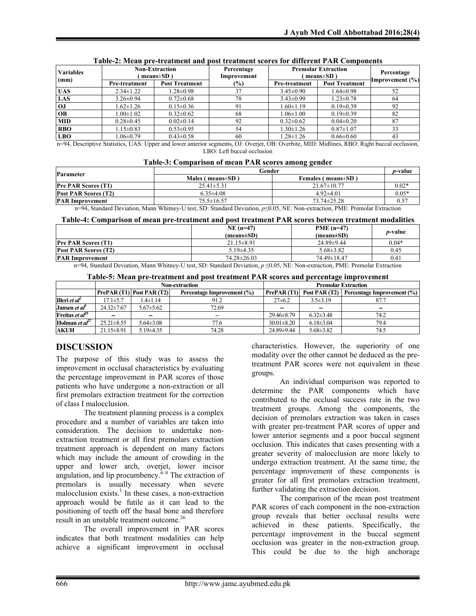| <b>Variables</b>                                        | <b>Non-Extraction</b><br>means $\pm SD$ ) |                       | Percentage<br>Improvement | <b>Premolar Extraction</b><br>$means \pm SD$ | Percentage            |                 |
|---------------------------------------------------------|-------------------------------------------|-----------------------|---------------------------|----------------------------------------------|-----------------------|-----------------|
| (mm)                                                    | <b>Pre-treatment</b>                      | <b>Post Treatment</b> | $(\%)$                    | <b>Pre-treatment</b>                         | <b>Post Treatment</b> | Improvement (%) |
| <b>UAS</b>                                              | $2.34 \pm 1.22$                           | $1.28 \pm 0.98$       | 37                        | $3.45 \pm 0.90$                              | $1.64 \pm 0.98$       | 52              |
| <b>LAS</b>                                              | $3.26 \pm 0.94$                           | $0.72 \pm 0.68$       | 78                        | $3.43 \pm 0.99$                              | $1.23 \pm 0.78$       | 64              |
| OJ                                                      | $1.62 \pm 1.26$                           | $0.15 \pm 0.36$       |                           | $1.60 \pm 1.19$                              | $0.19 \pm 0.39$       | 92              |
| <b>OB</b>                                               | $1.00 \pm 1.02$                           | $0.32 \pm 0.62$       | 68                        | $1.06 \pm 1.00$                              | $0.19 \pm 0.39$       | 82              |
| <b>MID</b>                                              | $0.28 \pm 0.45$                           | $0.02 \pm 0.14$       | 92                        | $0.32 \pm 0.62$                              | $0.04 \pm 0.20$       | 87              |
| <b>RBO</b>                                              | $1.15 \pm 0.83$                           | $0.53 \pm 0.95$       | 54                        | $1.30 \pm 1.26$                              | $0.87 \pm 1.07$       | 33              |
| <b>LBO</b>                                              | $1.06 \pm 0.79$                           | $0.43 \pm 0.58$       | 60                        | $1.28 \pm 1.26$                              | $0.66 \pm 0.60$       | 43              |
| an and their and the state of a condition of the month. |                                           |                       |                           |                                              |                       |                 |

#### Table-2: Mean pre-treatment and post treatment scores for different PAR Components

n=94, Descriptive Statistics, UAS: Upper and lower anterior segments, OJ: Overjet, OB: Overbite, MID: Midlines, RBO: Right buccal occlusion, LBO: Left buccal occlusion

|  | Table-3: Comparison of mean PAR scores among gender |
|--|-----------------------------------------------------|
|--|-----------------------------------------------------|

| <b>Parameter</b>            | Gender                   |                           |         |
|-----------------------------|--------------------------|---------------------------|---------|
|                             | Males ( $means \pm SD$ ) | Females (means \times SD) |         |
| <b>Pre PAR Scores (T1)</b>  | $25.41 \pm 5.31$         | $21.67 \pm 10.77$         | $0.02*$ |
| <b>Post PAR Scores (T2)</b> | $6.35\pm4.08$            | $4.92{\pm}4.01$           | $0.05*$ |
| <b>PAR Improvement</b>      | $75.5 \pm 16.57$         | $73.74 \pm 25.28$         |         |

n=94, Standard Deviation, Mann Whitney-U test, SD: Standard Deviation, *p*≤0.05, NE: Non-extraction, PME: Premolar Extraction

#### Table-4: Comparison of mean pre-treatment and post treatment PAR scores between treatment modalities

|                                                                                                                            |  | $NE(n=47)$<br>$(means \pm SD)$ | $PME (n=47)$<br>$(means \pm SD)$ | <i>p</i> -value |  |
|----------------------------------------------------------------------------------------------------------------------------|--|--------------------------------|----------------------------------|-----------------|--|
| <b>Pre PAR Scores (T1)</b>                                                                                                 |  | $21.15 \pm 8.91$               | $24.89 \pm 9.44$                 | $0.04*$         |  |
| <b>Post PAR Scores (T2)</b>                                                                                                |  | $5.19\pm4.35$                  | $5.68 \pm 3.82$                  | 0.45            |  |
| <b>PAR Improvement</b>                                                                                                     |  | $74.28 \pm 26.03$              | 74.49±18.47                      | 0.41            |  |
| n=04. Ctandard Davistical Mann Whitney U toot. CD: Ctandard Davistical n=0.05. NE: Non-artrogical DME: Dramalar Extraotion |  |                                |                                  |                 |  |

n=94, Standard Deviation, Mann Whitney-U test, SD: Standard Deviation, *p* ≤0.05, NE: Non-extraction, PME: Premolar Extraction

#### Table-5: Mean pre-treatment and post treatment PAR scores and percentage improvement

|                                                      | <b>Non-extraction</b> |                           |                            | <b>Premolar Extraction</b> |                 |                                          |
|------------------------------------------------------|-----------------------|---------------------------|----------------------------|----------------------------|-----------------|------------------------------------------|
|                                                      |                       | PrePAR(T1)   Post PAR(T2) | Percentage Improvement (%) | PrePAR(T1)                 |                 | Post PAR (T2) Percentage Improvement (%) |
| <b>Illeri</b> <i>et al</i> <sup><math>2</math></sup> | $17.1 \pm 5.7$        | 1.4±1.14                  | 91.2                       | $27 \pm 6.2$               | $3.5 \pm 3.19$  | 87.7                                     |
| Jansen <i>et al</i> <sup>5</sup>                     | $24.32 \pm 7.67$      | $5.67 \pm 5.62$           | 72.69                      | $\overline{\phantom{a}}$   | -               | $\overline{\phantom{a}}$                 |
| Freitas et $al^{29}$                                 |                       |                           | --                         | 29.46±8.79                 | $6.32\pm3.48$   | 74.2                                     |
| Holman et $a^{27}$                                   | $25.21 \pm 8.55$      | $5.64 \pm 3.08$           | 77.6                       | $30.01 \pm 8.20$           | $6.18\pm3.04$   | 79.4                                     |
| <b>AKUH</b>                                          | $21.15 \pm 8.91$      | $5.19\pm4.35$             | 74.28                      | 24.89±9.44                 | $5.68 \pm 3.82$ | 74.5                                     |

## DISCUSSION

The purpose of this study was to assess the improvement in occlusal characteristics by evaluating the percentage improvement in PAR scores of those patients who have undergone a non-extraction or all first premolars extraction treatment for the correction of class I malocclusion.

The treatment planning process is a complex procedure and a number of variables are taken into consideration. The decision to undertake nonextraction treatment or all first premolars extraction treatment approach is dependent on many factors which may include the amount of crowding in the upper and lower arch, overjet, lower incisor angulation, and lip procumbency. $6-8$  The extraction of premolars is usually necessary when severe malocclusion exists.<sup>1</sup> In these cases, a non-extraction approach would be futile as it can lead to the positioning of teeth off the basal bone and therefore result in an unstable treatment outcome.<sup>26</sup>

The overall improvement in PAR scores indicates that both treatment modalities can help achieve a significant improvement in occlusal

characteristics. However, the superiority of one modality over the other cannot be deduced as the pretreatment PAR scores were not equivalent in these groups.

An individual comparison was reported to determine the PAR components which have contributed to the occlusal success rate in the two treatment groups. Among the components, the decision of premolars extraction was taken in cases with greater pre-treatment PAR scores of upper and lower anterior segments and a poor buccal segment occlusion. This indicates that cases presenting with a greater severity of malocclusion are more likely to undergo extraction treatment. At the same time, the percentage improvement of these components is greater for all first premolars extraction treatment, further validating the extraction decision.

The comparison of the mean post treatment PAR scores of each component in the non-extraction group reveals that better occlusal results were achieved in these patients. Specifically, the percentage improvement in the buccal segment occlusion was greater in the non-extraction group. This could be due to the high anchorage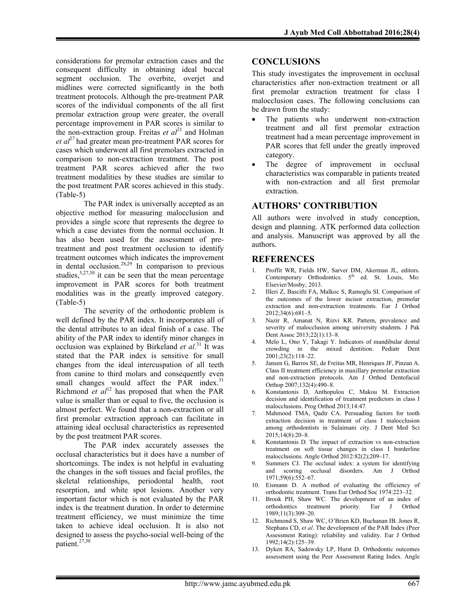considerations for premolar extraction cases and the consequent difficulty in obtaining ideal buccal segment occlusion. The overbite, overjet and midlines were corrected significantly in the both treatment protocols. Although the pre-treatment PAR scores of the individual components of the all first premolar extraction group were greater, the overall percentage improvement in PAR scores is similar to the non-extraction group. Freitas *et*  $al^{21}$  and Holman *et al*<sup>27</sup> had greater mean pre-treatment PAR scores for cases which underwent all first premolars extracted in comparison to non-extraction treatment. The post treatment PAR scores achieved after the two treatment modalities by these studies are similar to the post treatment PAR scores achieved in this study. (Table-5)

The PAR index is universally accepted as an objective method for measuring malocclusion and provides a single score that represents the degree to which a case deviates from the normal occlusion. It has also been used for the assessment of pretreatment and post treatment occlusion to identify treatment outcomes which indicates the improvement in dental occlusion. 28,29 In comparison to previous studies,  $5,27,30$  it can be seen that the mean percentage improvement in PAR scores for both treatment modalities was in the greatly improved category. (Table-5)

The severity of the orthodontic problem is well defined by the PAR index. It incorporates all of the dental attributes to an ideal finish of a case. The ability of the PAR index to identify minor changes in occlusion was explained by Birkeland *et al*. <sup>31</sup> It was stated that the PAR index is sensitive for small changes from the ideal intercuspation of all teeth from canine to third molars and consequently even small changes would affect the PAR index.<sup>31</sup> Richmond *et*  $al^{12}$  has proposed that when the PAR value is smaller than or equal to five, the occlusion is almost perfect. We found that a non-extraction or all first premolar extraction approach can facilitate in attaining ideal occlusal characteristics as represented by the post treatment PAR scores.

The PAR index accurately assesses the occlusal characteristics but it does have a number of shortcomings. The index is not helpful in evaluating the changes in the soft tissues and facial profiles, the skeletal relationships, periodontal health, root resorption, and white spot lesions. Another very important factor which is not evaluated by the PAR index is the treatment duration. In order to determine treatment efficiency, we must minimize the time taken to achieve ideal occlusion. It is also not designed to assess the psycho-social well-being of the patient. 27,30

## **CONCLUSIONS**

This study investigates the improvement in occlusal characteristics after non-extraction treatment or all first premolar extraction treatment for class I malocclusion cases. The following conclusions can be drawn from the study:

- The patients who underwent non-extraction treatment and all first premolar extraction treatment had a mean percentage improvement in PAR scores that fell under the greatly improved category.
- The degree of improvement in occlusal characteristics was comparable in patients treated with non-extraction and all first premolar extraction.

## AUTHORS' CONTRIBUTION

All authors were involved in study conception, design and planning. ATK performed data collection and analysis. Manuscript was approved by all the authors.

## **REFERENCES**

- Proffit WR, Fields HW, Sarver DM, Akerman JL, editors. Contemporary Orthodontics.  $5<sup>th</sup>$  ed. St. Louis, Mo: Elsevier/Mosby; 2013.
- 2. Illeri Z, Bascifti FA, Malkoc S, Ramoglu SI. Comparison of the outcomes of the lower incisor extraction, premolar extraction and non-extraction treatments. Eur J Orthod 2012;34(6):681–5.
- 3. Nazir R, Amanat N, Rizvi KR. Pattern, prevalence and severity of malocclusion among university students. J Pak Dent Assoc 2013;22(1):13–8.
- 4. Melo L, Ono Y, Takagi Y. Indicators of mandibular dental<br>crowding in the mixed dentition. Pediatr Dent mixed dentition. Pediatr Dent 2001;23(2):118–22.
- 5. Jansen G, Barros SE, de Freitas MR, Henriques JF, Pinzan A. Class II treatment efficiency in maxillary premolar extraction and non-extraction protocols. Am J Orthod Dentofacial Orthop 2007;132(4):490–8.
- 6. Konstantonis D, Anthopulou C, Makou M. Extraction decision and identification of treatment predictors in class I malocclusions. Prog Orthod 2013;14:47.
- 7. Mahmood TMA, Qadir CA. Persuading factors for tooth extraction decision in treatment of class I malocclusion among orthodontists in Sulaimani city. J Dent Med Sci 2015;14(8):20–8.
- 8. Konstantonis D. The impact of extraction vs non-extraction treatment on soft tissue changes in class I borderline malocclusions. Angle Orthod 2012:82(2);209–17.
- 9. Summers CJ. The occlusal index: a system for identifying and scoring occlusal disorders. Am J Orthod 1971;59(6):552–67.
- 10. Eismann D. A method of evaluating the efficiency of orthodontic treatment. Trans Eur Orthod Soc 1974:223–32.
- 11. Brook PH, Shaw WC. The development of an index of orthodontics treatment priority. Eur J Orthod 1989;11(3):309–20.
- 12. Richmond S, Shaw WC, O'Brien KD, Buchanan IB. Jones R, Stephans CD, *et al*. The development of the PAR Index (Peer Assessment Rating): reliability and validity. Eur J Orthod 1992;14(2):125–39.
- 13. Dyken RA, Sadowsky LP, Hurst D. Orthodontic outcomes assessment using the Peer Assessment Rating Index. Angle